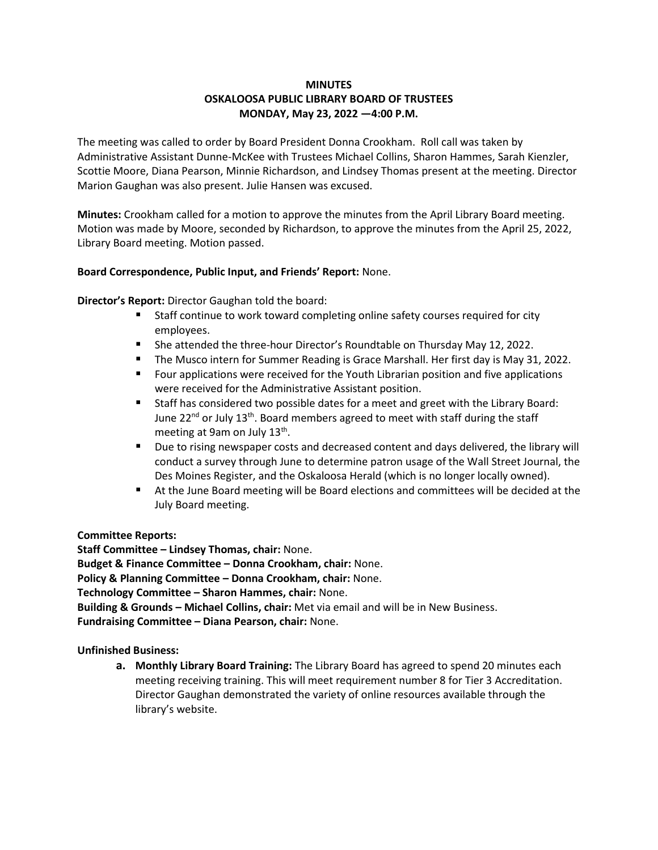## **MINUTES OSKALOOSA PUBLIC LIBRARY BOARD OF TRUSTEES MONDAY, May 23, 2022 —4:00 P.M.**

The meeting was called to order by Board President Donna Crookham. Roll call was taken by Administrative Assistant Dunne-McKee with Trustees Michael Collins, Sharon Hammes, Sarah Kienzler, Scottie Moore, Diana Pearson, Minnie Richardson, and Lindsey Thomas present at the meeting. Director Marion Gaughan was also present. Julie Hansen was excused.

**Minutes:** Crookham called for a motion to approve the minutes from the April Library Board meeting. Motion was made by Moore, seconded by Richardson, to approve the minutes from the April 25, 2022, Library Board meeting. Motion passed.

## **Board Correspondence, Public Input, and Friends' Report:** None.

**Director's Report:** Director Gaughan told the board:

- Staff continue to work toward completing online safety courses required for city employees.
- She attended the three-hour Director's Roundtable on Thursday May 12, 2022.
- The Musco intern for Summer Reading is Grace Marshall. Her first day is May 31, 2022.
- Four applications were received for the Youth Librarian position and five applications were received for the Administrative Assistant position.
- Staff has considered two possible dates for a meet and greet with the Library Board: June 22<sup>nd</sup> or July 13<sup>th</sup>. Board members agreed to meet with staff during the staff meeting at 9am on July 13<sup>th</sup>.
- Due to rising newspaper costs and decreased content and days delivered, the library will conduct a survey through June to determine patron usage of the Wall Street Journal, the Des Moines Register, and the Oskaloosa Herald (which is no longer locally owned).
- At the June Board meeting will be Board elections and committees will be decided at the July Board meeting.

**Committee Reports:**

**Staff Committee – Lindsey Thomas, chair:** None. **Budget & Finance Committee – Donna Crookham, chair:** None. **Policy & Planning Committee – Donna Crookham, chair:** None. **Technology Committee – Sharon Hammes, chair:** None. **Building & Grounds – Michael Collins, chair:** Met via email and will be in New Business. **Fundraising Committee – Diana Pearson, chair:** None.

**Unfinished Business:**

**a. Monthly Library Board Training:** The Library Board has agreed to spend 20 minutes each meeting receiving training. This will meet requirement number 8 for Tier 3 Accreditation. Director Gaughan demonstrated the variety of online resources available through the library's website.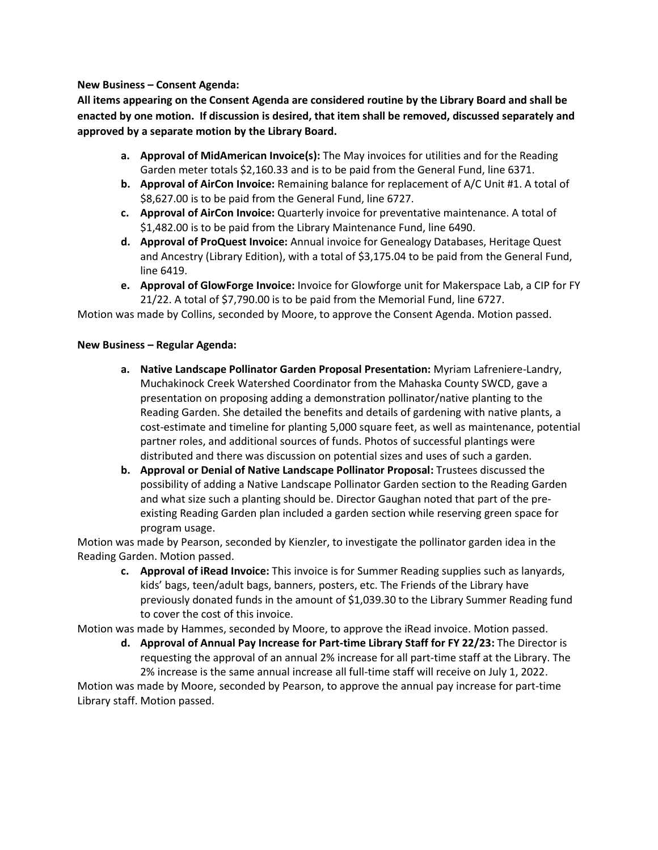## **New Business – Consent Agenda:**

**All items appearing on the Consent Agenda are considered routine by the Library Board and shall be enacted by one motion. If discussion is desired, that item shall be removed, discussed separately and approved by a separate motion by the Library Board.**

- **a. Approval of MidAmerican Invoice(s):** The May invoices for utilities and for the Reading Garden meter totals \$2,160.33 and is to be paid from the General Fund, line 6371.
- **b. Approval of AirCon Invoice:** Remaining balance for replacement of A/C Unit #1. A total of \$8,627.00 is to be paid from the General Fund, line 6727.
- **c. Approval of AirCon Invoice:** Quarterly invoice for preventative maintenance. A total of \$1,482.00 is to be paid from the Library Maintenance Fund, line 6490.
- **d. Approval of ProQuest Invoice:** Annual invoice for Genealogy Databases, Heritage Quest and Ancestry (Library Edition), with a total of \$3,175.04 to be paid from the General Fund, line 6419.
- **e. Approval of GlowForge Invoice:** Invoice for Glowforge unit for Makerspace Lab, a CIP for FY 21/22. A total of \$7,790.00 is to be paid from the Memorial Fund, line 6727.

Motion was made by Collins, seconded by Moore, to approve the Consent Agenda. Motion passed.

## **New Business – Regular Agenda:**

- **a. Native Landscape Pollinator Garden Proposal Presentation:** Myriam Lafreniere-Landry, Muchakinock Creek Watershed Coordinator from the Mahaska County SWCD, gave a presentation on proposing adding a demonstration pollinator/native planting to the Reading Garden. She detailed the benefits and details of gardening with native plants, a cost-estimate and timeline for planting 5,000 square feet, as well as maintenance, potential partner roles, and additional sources of funds. Photos of successful plantings were distributed and there was discussion on potential sizes and uses of such a garden.
- **b. Approval or Denial of Native Landscape Pollinator Proposal:** Trustees discussed the possibility of adding a Native Landscape Pollinator Garden section to the Reading Garden and what size such a planting should be. Director Gaughan noted that part of the preexisting Reading Garden plan included a garden section while reserving green space for program usage.

Motion was made by Pearson, seconded by Kienzler, to investigate the pollinator garden idea in the Reading Garden. Motion passed.

**c. Approval of iRead Invoice:** This invoice is for Summer Reading supplies such as lanyards, kids' bags, teen/adult bags, banners, posters, etc. The Friends of the Library have previously donated funds in the amount of \$1,039.30 to the Library Summer Reading fund to cover the cost of this invoice.

Motion was made by Hammes, seconded by Moore, to approve the iRead invoice. Motion passed.

**d. Approval of Annual Pay Increase for Part-time Library Staff for FY 22/23:** The Director is requesting the approval of an annual 2% increase for all part-time staff at the Library. The 2% increase is the same annual increase all full-time staff will receive on July 1, 2022.

Motion was made by Moore, seconded by Pearson, to approve the annual pay increase for part-time Library staff. Motion passed.